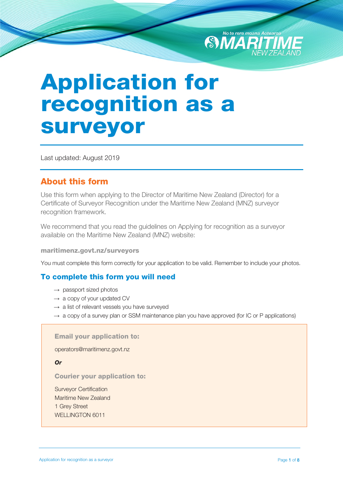

# Application for recognition as a surveyor

Last updated: August 2019

## About this form

Use this form when applying to the Director of Maritime New Zealand (Director) for a Certificate of Surveyor Recognition under the Maritime New Zealand (MNZ) surveyor recognition framework.

We recommend that you read the guidelines on Applying for recognition as a surveyor available on the Maritime New Zealand (MNZ) website:

#### maritimenz.govt.nz/surveyors

You must complete this form correctly for your application to be valid. Remember to include your photos.

### To complete this form you will need

- $\rightarrow$  passport sized photos
- $\rightarrow$  a copy of your updated CV
- $\rightarrow$  a list of relevant vessels you have surveyed
- $\rightarrow$  a copy of a survey plan or SSM maintenance plan you have approved (for IC or P applications)

#### Email your application to:

operators[@maritimenz.govt.nz](mailto:surveyors@maritimenz.govt.nz) 

*Or*

#### Courier your application to:

Surveyor Certification Maritime New Zealand 1 Grey Street WELLINGTON 6011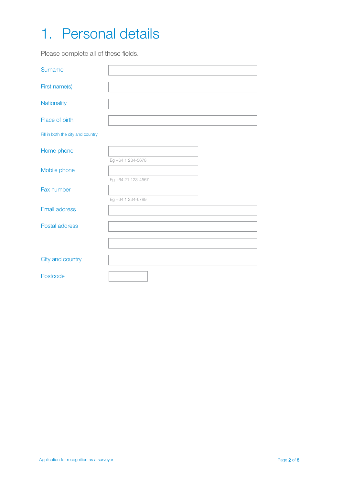# 1. Personal details

Please complete all of these fields.

| Surname                           |                    |
|-----------------------------------|--------------------|
| First name(s)                     |                    |
| Nationality                       |                    |
| Place of birth                    |                    |
| Fill in both the city and country |                    |
| Home phone                        |                    |
| Mobile phone                      | Eg +64 1 234-5678  |
| Fax number                        | Eg +64 21 123-4567 |
| <b>Email address</b>              | Eg +64 1 234-6789  |
| Postal address                    |                    |
|                                   |                    |
| City and country                  |                    |
| Postcode                          |                    |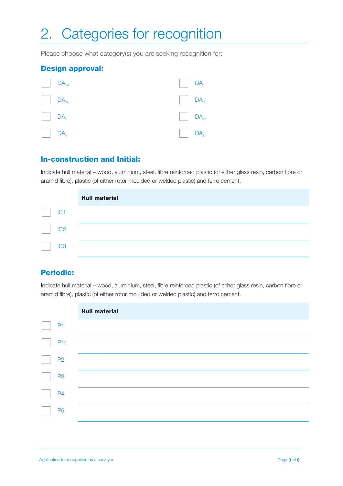# 2. Categories for recognition

Please choose what category(s) you are seeking recognition for:

#### Design approval:

|                                                           | $\begin{array}{ c c } \hline \end{array}$ DA <sub>SA</sub> | $\begin{bmatrix} \end{bmatrix}$ DA <sub>F</sub> |  |
|-----------------------------------------------------------|------------------------------------------------------------|-------------------------------------------------|--|
|                                                           | $\Box$ DA <sub>w</sub>                                     | $\Box$ DA <sub>FC</sub>                         |  |
| $\vert$ $\vert$ DA <sub>P</sub>                           |                                                            | $\Box$ $DA$ <sub>LC</sub>                       |  |
| $\begin{array}{ c c } \hline \end{array}$ DA <sub>N</sub> |                                                            | DA <sub>E</sub>                                 |  |

#### In-construction and Initial:

Indicate hull material – wood, aluminium, steel, fibre reinforced plastic (of either glass resin, carbon fibre or aramid fibre), plastic (of either rotor moulded or welded plastic) and ferro cement.

|                 | <b>Hull material</b> |
|-----------------|----------------------|
| IC <sub>1</sub> |                      |
| IC <sub>2</sub> |                      |
| IC <sub>3</sub> |                      |

### Periodic:

Indicate hull material – wood, aluminium, steel, fibre reinforced plastic (of either glass resin, carbon fibre or aramid fibre), plastic (of either rotor moulded or welded plastic) and ferro cement.

|                 | <b>Hull material</b> |
|-----------------|----------------------|
| P <sub>1</sub>  |                      |
| P <sub>1r</sub> |                      |
| P <sub>2</sub>  |                      |
| P <sub>3</sub>  |                      |
| <b>P4</b>       |                      |
| <b>P5</b>       |                      |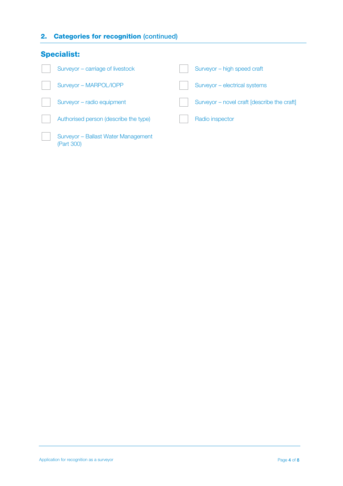### 2. Categories for recognition (continued)

| <b>Specialist:</b> |                                                   |  |                                             |
|--------------------|---------------------------------------------------|--|---------------------------------------------|
|                    | Surveyor – carriage of livestock                  |  | Surveyor - high speed craft                 |
|                    | Surveyor - MARPOL/IOPP                            |  | Surveyor - electrical systems               |
|                    | Surveyor - radio equipment                        |  | Surveyor – novel craft [describe the craft] |
|                    | Authorised person (describe the type)             |  | Radio inspector                             |
|                    | Surveyor - Ballast Water Management<br>(Part 300) |  |                                             |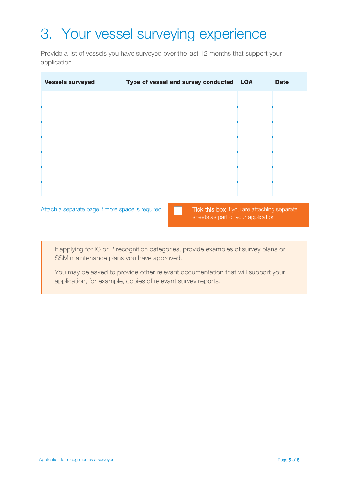# 3. Your vessel surveying experience

Provide a list of vessels you have surveyed over the last 12 months that support your application.

| <b>Vessels surveyed</b> | Type of vessel and survey conducted LOA | <b>Date</b> |
|-------------------------|-----------------------------------------|-------------|
|                         |                                         |             |
|                         |                                         |             |
|                         |                                         |             |
|                         |                                         |             |
|                         |                                         |             |
|                         |                                         |             |
|                         |                                         |             |

Attach a separate page if more space is required. Tick this box if you are attaching separate

sheets as part of your application

If applying for IC or P recognition categories, provide examples of survey plans or SSM maintenance plans you have approved.

You may be asked to provide other relevant documentation that will support your application, for example, copies of relevant survey reports.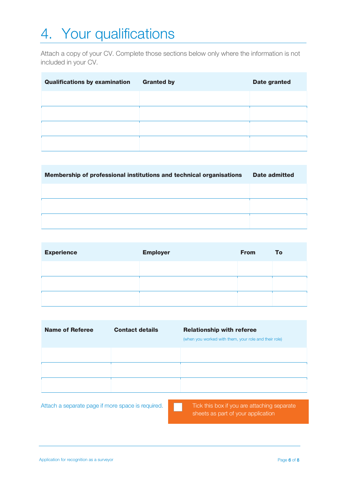# 4. Your qualifications

Attach a copy of your CV. Complete those sections below only where the information is not included in your CV.

| <b>Qualifications by examination</b> | <b>Granted by</b> | <b>Date granted</b> |
|--------------------------------------|-------------------|---------------------|
|                                      |                   |                     |
|                                      |                   |                     |
|                                      |                   |                     |
|                                      |                   |                     |

| Membership of professional institutions and technical organisations | Date admitted |
|---------------------------------------------------------------------|---------------|
|                                                                     |               |
|                                                                     |               |
|                                                                     |               |

| <b>Experience</b> | <b>Employer</b> | <b>From</b> | To |
|-------------------|-----------------|-------------|----|
|                   |                 |             |    |
|                   |                 |             |    |
|                   |                 |             |    |

| <b>Name of Referee</b> | <b>Contact details</b> | <b>Relationship with referee</b><br>(when you worked with them, your role and their role) |
|------------------------|------------------------|-------------------------------------------------------------------------------------------|
|                        |                        |                                                                                           |
|                        |                        |                                                                                           |
|                        |                        |                                                                                           |

Attach a separate page if more space is required. Tick this box if you are attaching separate

sheets as part of your application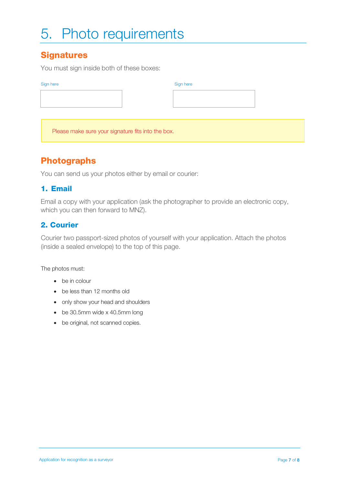# 5. Photo requirements

# **Signatures**

You must sign inside both of these boxes:

#### Sign here

Please make sure your signature fits into the box.

## Photographs

You can send us your photos either by email or courier:

### 1. Email

Email a copy with your application (ask the photographer to provide an electronic copy, which you can then forward to MNZ).

### 2. Courier

Courier two passport-sized photos of yourself with your application. Attach the photos (inside a sealed envelope) to the top of this page.

The photos must:

- be in colour
- be less than 12 months old
- only show your head and shoulders
- be 30.5mm wide x 40.5mm long
- be original, not scanned copies.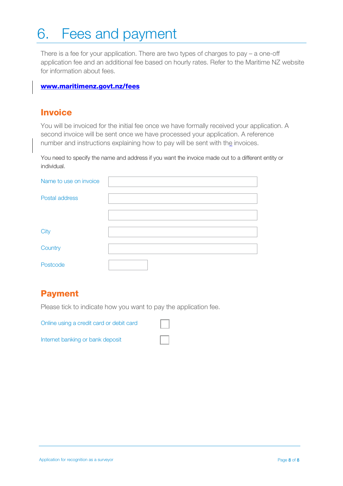# 6. Fees and payment

There is a fee for your application. There are two types of charges to pay – a one-off application fee and an additional fee based on hourly rates. Refer to the Maritime NZ website for information about fees.

#### www.maritimenz.govt.nz/fees

### **Invoice**

You will be invoiced for the initial fee once we have formally received your application. A second invoice will be sent once we have processed your application. A reference number and instructions explaining how to pay will be sent with the invoices.

You need to specify the name and address if you want the invoice made out to a different entity or individual.

| Name to use on invoice |  |
|------------------------|--|
| Postal address         |  |
|                        |  |
| City                   |  |
| Country                |  |
| Postcode               |  |

# Payment

Please tick to indicate how you want to pay the application fee.

Online using a credit card or debit card

Internet banking or bank deposit